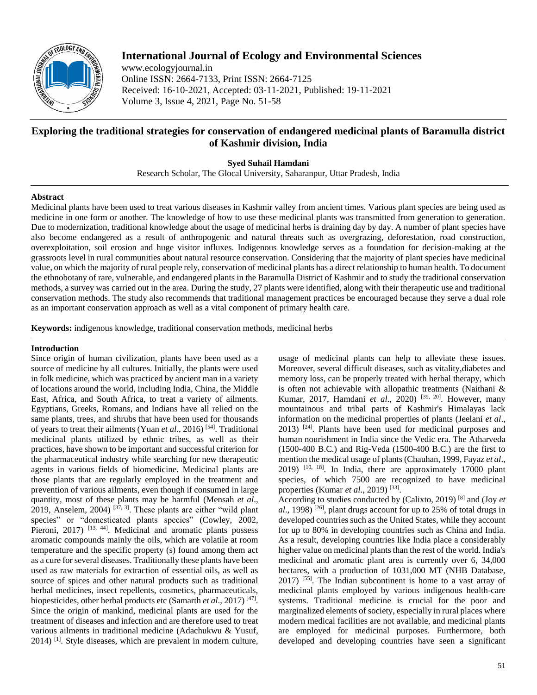

# **International Journal of Ecology and Environmental Sciences**

www.ecologyjournal.in Online ISSN: 2664-7133, Print ISSN: 2664-7125 Received: 16-10-2021, Accepted: 03-11-2021, Published: 19-11-2021 Volume 3, Issue 4, 2021, Page No. 51-58

## **Exploring the traditional strategies for conservation of endangered medicinal plants of Baramulla district of Kashmir division, India**

**Syed Suhail Hamdani**

Research Scholar, The Glocal University, Saharanpur, Uttar Pradesh, India

### **Abstract**

Medicinal plants have been used to treat various diseases in Kashmir valley from ancient times. Various plant species are being used as medicine in one form or another. The knowledge of how to use these medicinal plants was transmitted from generation to generation. Due to modernization, traditional knowledge about the usage of medicinal herbs is draining day by day. A number of plant species have also become endangered as a result of anthropogenic and natural threats such as overgrazing, deforestation, road construction, overexploitation, soil erosion and huge visitor influxes. Indigenous knowledge serves as a foundation for decision-making at the grassroots level in rural communities about natural resource conservation. Considering that the majority of plant species have medicinal value, on which the majority of rural people rely, conservation of medicinal plants has a direct relationship to human health. To document the ethnobotany of rare, vulnerable, and endangered plants in the Baramulla District of Kashmir and to study the traditional conservation methods, a survey was carried out in the area. During the study, 27 plants were identified, along with their therapeutic use and traditional conservation methods. The study also recommends that traditional management practices be encouraged because they serve a dual role as an important conservation approach as well as a vital component of primary health care.

**Keywords:** indigenous knowledge, traditional conservation methods, medicinal herbs

### **Introduction**

Since origin of human civilization, plants have been used as a source of medicine by all cultures. Initially, the plants were used in folk medicine, which was practiced by ancient man in a variety of locations around the world, including India, China, the Middle East, Africa, and South Africa, to treat a variety of ailments. Egyptians, Greeks, Romans, and Indians have all relied on the same plants, trees, and shrubs that have been used for thousands of years to treat their ailments (Yuan *et al*., 2016) [54] . Traditional medicinal plants utilized by ethnic tribes, as well as their practices, have shown to be important and successful criterion for the pharmaceutical industry while searching for new therapeutic agents in various fields of biomedicine. Medicinal plants are those plants that are regularly employed in the treatment and prevention of various ailments, even though if consumed in large quantity, most of these plants may be harmful (Mensah *et al*., 2019, Anselem,  $2004$ )<sup>[37, 3]</sup>. These plants are either "wild plant species" or "domesticated plants species" (Cowley, 2002, Pieroni, 2017)<sup>[13, 44]</sup>. Medicinal and aromatic plants possess aromatic compounds mainly the oils, which are volatile at room temperature and the specific property (s) found among them act as a cure for several diseases. Traditionally these plants have been used as raw materials for extraction of essential oils, as well as source of spices and other natural products such as traditional herbal medicines, insect repellents, cosmetics, pharmaceuticals, biopesticides, other herbal products etc (Samarth *et al.*, 2017)<sup>[47]</sup>. Since the origin of mankind, medicinal plants are used for the treatment of diseases and infection and are therefore used to treat various ailments in traditional medicine (Adachukwu & Yusuf, 2014) [1] . Style diseases, which are prevalent in modern culture,

usage of medicinal plants can help to alleviate these issues. Moreover, several difficult diseases, such as vitality,diabetes and memory loss, can be properly treated with herbal therapy, which is often not achievable with allopathic treatments (Naithani & Kumar, 2017, Hamdani *et al.*, 2020)<sup>[39, 20]</sup>. However, many mountainous and tribal parts of Kashmir's Himalayas lack information on the medicinal properties of plants (Jeelani *et al*.,  $2013$ ) <sup>[24]</sup>. Plants have been used for medicinal purposes and human nourishment in India since the Vedic era. The Atharveda (1500-400 B.C.) and Rig-Veda (1500-400 B.C.) are the first to mention the medical usage of plants (Chauhan, 1999, Fayaz *et al*.,  $2019$ )  $[10, 18]$ . In India, there are approximately 17000 plant species, of which 7500 are recognized to have medicinal properties (Kumar *et al.*, 2019)<sup>[33]</sup>. According to studies conducted by (Calixto, 2019) [8] and (Joy *et* 

al., 1998)<sup>[26]</sup>, plant drugs account for up to 25% of total drugs in developed countries such as the United States, while they account for up to 80% in developing countries such as China and India. As a result, developing countries like India place a considerably higher value on medicinal plants than the rest of the world. India's medicinal and aromatic plant area is currently over 6, 34,000 hectares, with a production of 1031,000 MT (NHB Database,  $2017$ ) <sup>[55]</sup>. The Indian subcontinent is home to a vast array of medicinal plants employed by various indigenous health-care systems. Traditional medicine is crucial for the poor and marginalized elements of society, especially in rural places where modern medical facilities are not available, and medicinal plants are employed for medicinal purposes. Furthermore, both developed and developing countries have seen a significant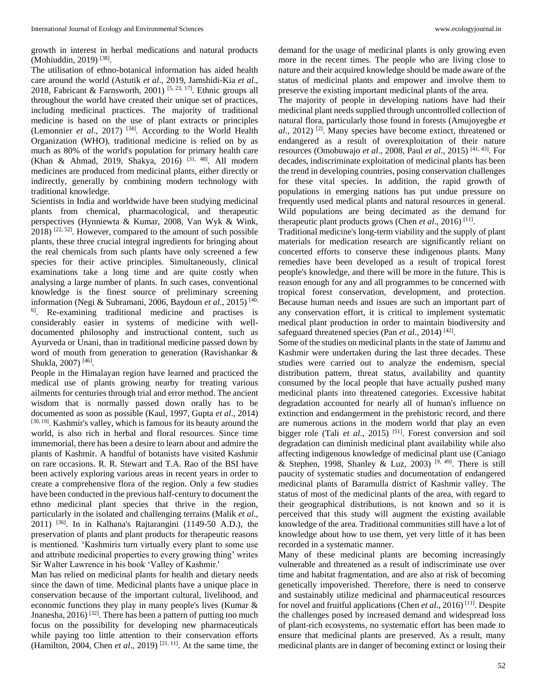growth in interest in herbal medications and natural products (Mohiuddin, 2019)<sup>[38]</sup>.

The utilisation of ethno-botanical information has aided health care around the world (Astutik *et al*., 2019, Jamshidi-Kia *et al*., 2018, Fabricant & Farnsworth, 2001)<sup>[5, 23, 17]</sup>. Ethnic groups all throughout the world have created their unique set of practices, including medicinal practices. The majority of traditional medicine is based on the use of plant extracts or principles (Lemonnier *et al*., 2017) [34] . According to the World Health Organization (WHO), traditional medicine is relied on by as much as 80% of the world's population for primary health care (Khan & Ahmad, 2019, Shakya, 2016)<sup>[31, 48]</sup>. All modern medicines are produced from medicinal plants, either directly or indirectly, generally by combining modern technology with traditional knowledge.

Scientists in India and worldwide have been studying medicinal plants from chemical, pharmacological, and therapeutic perspectives (Hynniewta & Kumar, 2008, Van Wyk & Wink,  $2018$ ) <sup>[22, 52]</sup>. However, compared to the amount of such possible plants, these three crucial integral ingredients for bringing about the real chemicals from such plants have only screened a few species for their active principles. Simultaneously, clinical examinations take a long time and are quite costly when analysing a large number of plants. In such cases, conventional knowledge is the finest source of preliminary screening information (Negi & Subramani, 2006, Baydoun *et al*., 2015) [40, 6] . Re-examining traditional medicine and practises is considerably easier in systems of medicine with welldocumented philosophy and instructional content, such as Ayurveda or Unani, than in traditional medicine passed down by word of mouth from generation to generation (Ravishankar & Shukla, 2007)<sup>[46]</sup>.

People in the Himalayan region have learned and practiced the medical use of plants growing nearby for treating various ailments for centuries through trial and error method. The ancient wisdom that is normally passed down orally has to be documented as soon as possible (Kaul, 1997, Gupta *et al*., 2014) [30, 19]. Kashmir's valley, which is famous for its beauty around the world, is also rich in herbal and floral resources. Since time immemorial, there has been a desire to learn about and admire the plants of Kashmir. A handful of botanists have visited Kashmir on rare occasions. R. R. Stewart and T.A. Rao of the BSI have been actively exploring various areas in recent years in order to create a comprehensive flora of the region. Only a few studies have been conducted in the previous half-century to document the ethno medicinal plant species that thrive in the region, particularly in the isolated and challenging terrains (Malik *et al*., 2011) [36] . In in Kalhana's Rajtarangini (1149-50 A.D.), the preservation of plants and plant products for therapeutic reasons is mentioned. 'Kashmiris turn virtually every plant to some use and attribute medicinal properties to every growing thing' writes Sir Walter Lawrence in his book 'Valley of Kashmir.'

Man has relied on medicinal plants for health and dietary needs since the dawn of time. Medicinal plants have a unique place in conservation because of the important cultural, livelihood, and economic functions they play in many people's lives (Kumar & Jnanesha, 2016)<sup>[32]</sup>. There has been a pattern of putting too much focus on the possibility for developing new pharmaceuticals while paying too little attention to their conservation efforts (Hamilton, 2004, Chen *et al.*, 2019)<sup>[21, 11]</sup>. At the same time, the demand for the usage of medicinal plants is only growing even more in the recent times. The people who are living close to nature and their acquired knowledge should be made aware of the status of medicinal plants and empower and involve them to preserve the existing important medicinal plants of the area.

The majority of people in developing nations have had their medicinal plant needs supplied through uncontrolled collection of natural flora, particularly those found in forests (Amujoyegbe *et*  al., 2012)<sup>[2]</sup>. Many species have become extinct, threatened or endangered as a result of overexploitation of their nature resources (Omobuwajo *et al*., 2008, Paul *et al*., 2015) [41, 43] . For decades, indiscriminate exploitation of medicinal plants has been the trend in developing countries, posing conservation challenges for these vital species. In addition, the rapid growth of populations in emerging nations has put undue pressure on frequently used medical plants and natural resources in general. Wild populations are being decimated as the demand for therapeutic plant products grows (Chen *et al.*, 2016)<sup>[11]</sup>.

Traditional medicine's long-term viability and the supply of plant materials for medication research are significantly reliant on concerted efforts to conserve these indigenous plants. Many remedies have been developed as a result of tropical forest people's knowledge, and there will be more in the future. This is reason enough for any and all programmes to be concerned with tropical forest conservation, development, and protection. Because human needs and issues are such an important part of any conservation effort, it is critical to implement systematic medical plant production in order to maintain biodiversity and safeguard threatened species (Pan *et al.*, 2014)<sup>[42]</sup>.

Some of the studies on medicinal plants in the state of Jammu and Kashmir were undertaken during the last three decades. These studies were carried out to analyze the endemism, special distribution pattern, threat status, availability and quantity consumed by the local people that have actually pushed many medicinal plants into threatened categories. Excessive habitat degradation accounted for nearly all of human's influence on extinction and endangerment in the prehistoric record, and there are numerous actions in the modern world that play an even bigger role (Tali et al., 2015)<sup>[51]</sup>. Forest conversion and soil degradation can diminish medicinal plant availability while also affecting indigenous knowledge of medicinal plant use (Caniago & Stephen, 1998, Shanley & Luz, 2003)<sup>[9, 49]</sup>. There is still paucity of systematic studies and documentation of endangered medicinal plants of Baramulla district of Kashmir valley. The status of most of the medicinal plants of the area, with regard to their geographical distributions, is not known and so it is perceived that this study will augment the existing available knowledge of the area. Traditional communities still have a lot of knowledge about how to use them, yet very little of it has been recorded in a systematic manner.

Many of these medicinal plants are becoming increasingly vulnerable and threatened as a result of indiscriminate use over time and habitat fragmentation, and are also at risk of becoming genetically impoverished. Therefore, there is need to conserve and sustainably utilize medicinal and pharmaceutical resources for novel and fruitful applications (Chen *et al*., 2016) [11] . Despite the challenges posed by increased demand and widespread loss of plant-rich ecosystems, no systematic effort has been made to ensure that medicinal plants are preserved. As a result, many medicinal plants are in danger of becoming extinct or losing their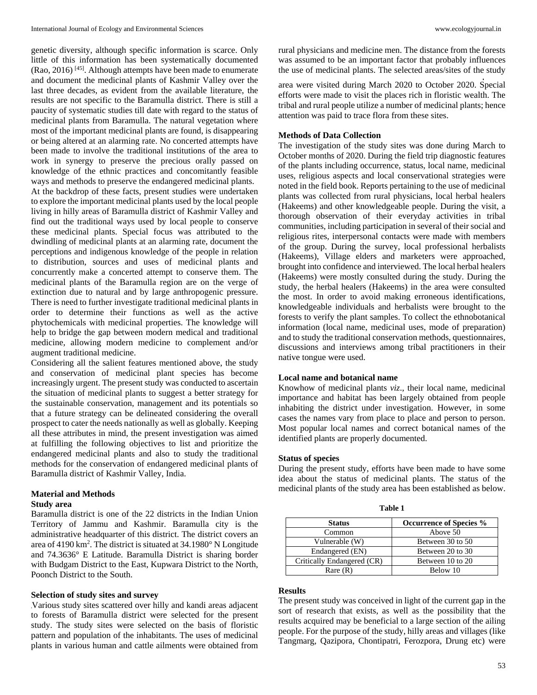genetic diversity, although specific information is scarce. Only little of this information has been systematically documented (Rao, 2016)<sup>[45]</sup>. Although attempts have been made to enumerate and document the medicinal plants of Kashmir Valley over the last three decades, as evident from the available literature, the results are not specific to the Baramulla district. There is still a paucity of systematic studies till date with regard to the status of medicinal plants from Baramulla. The natural vegetation where most of the important medicinal plants are found, is disappearing or being altered at an alarming rate. No concerted attempts have been made to involve the traditional institutions of the area to work in synergy to preserve the precious orally passed on knowledge of the ethnic practices and concomitantly feasible ways and methods to preserve the endangered medicinal plants.

At the backdrop of these facts, present studies were undertaken to explore the important medicinal plants used by the local people living in hilly areas of Baramulla district of Kashmir Valley and find out the traditional ways used by local people to conserve these medicinal plants. Special focus was attributed to the dwindling of medicinal plants at an alarming rate, document the perceptions and indigenous knowledge of the people in relation to distribution, sources and uses of medicinal plants and concurrently make a concerted attempt to conserve them. The medicinal plants of the Baramulla region are on the verge of extinction due to natural and by large anthropogenic pressure. There is need to further investigate traditional medicinal plants in order to determine their functions as well as the active phytochemicals with medicinal properties. The knowledge will help to bridge the gap between modern medical and traditional medicine, allowing modern medicine to complement and/or augment traditional medicine.

Considering all the salient features mentioned above, the study and conservation of medicinal plant species has become increasingly urgent. The present study was conducted to ascertain the situation of medicinal plants to suggest a better strategy for the sustainable conservation, management and its potentials so that a future strategy can be delineated considering the overall prospect to cater the needs nationally as well as globally. Keeping all these attributes in mind, the present investigation was aimed at fulfilling the following objectives to list and prioritize the endangered medicinal plants and also to study the traditional methods for the conservation of endangered medicinal plants of Baramulla district of Kashmir Valley, India.

## **Material and Methods**

#### **Study area**

Baramulla district is one of the 22 districts in the Indian Union Territory of Jammu and Kashmir. Baramulla city is the administrative headquarter of this district. The district covers an area of 4190 km<sup>2</sup>. The district is situated at 34.1980° N Longitude and 74.3636° E Latitude. Baramulla District is sharing border with Budgam District to the East, Kupwara District to the North, Poonch District to the South.

### **Selection of study sites and survey**

Various study sites scattered over hilly and kandi areas adjacent to forests of Baramulla district were selected for the present study. The study sites were selected on the basis of floristic pattern and population of the inhabitants. The uses of medicinal plants in various human and cattle ailments were obtained from

rural physicians and medicine men. The distance from the forests was assumed to be an important factor that probably influences the use of medicinal plants. The selected areas/sites of the study

area were visited during March 2020 to October 2020. Special efforts were made to visit the places rich in floristic wealth. The tribal and rural people utilize a number of medicinal plants; hence attention was paid to trace flora from these sites.

### **Methods of Data Collection**

The investigation of the study sites was done during March to October months of 2020. During the field trip diagnostic features of the plants including occurrence, status, local name, medicinal uses, religious aspects and local conservational strategies were noted in the field book. Reports pertaining to the use of medicinal plants was collected from rural physicians, local herbal healers (Hakeems) and other knowledgeable people. During the visit, a thorough observation of their everyday activities in tribal communities, including participation in several of their social and religious rites, interpersonal contacts were made with members of the group. During the survey, local professional herbalists (Hakeems), Village elders and marketers were approached, brought into confidence and interviewed. The local herbal healers (Hakeems) were mostly consulted during the study. During the study, the herbal healers (Hakeems) in the area were consulted the most. In order to avoid making erroneous identifications, knowledgeable individuals and herbalists were brought to the forests to verify the plant samples. To collect the ethnobotanical information (local name, medicinal uses, mode of preparation) and to study the traditional conservation methods, questionnaires, discussions and interviews among tribal practitioners in their native tongue were used.

### **Local name and botanical name**

Knowhow of medicinal plants *viz*., their local name, medicinal importance and habitat has been largely obtained from people inhabiting the district under investigation. However, in some cases the names vary from place to place and person to person. Most popular local names and correct botanical names of the identified plants are properly documented.

#### **Status of species**

During the present study, efforts have been made to have some idea about the status of medicinal plants. The status of the medicinal plants of the study area has been established as below.

| able |  |
|------|--|
|------|--|

| <b>Status</b>              | <b>Occurrence of Species %</b> |
|----------------------------|--------------------------------|
| Common                     | Above 50                       |
| Vulnerable (W)             | Between 30 to 50               |
| Endangered (EN)            | Between 20 to 30               |
| Critically Endangered (CR) | Between 10 to 20               |
| Rare(R)                    | Below 10                       |

#### **Results**

The present study was conceived in light of the current gap in the sort of research that exists, as well as the possibility that the results acquired may be beneficial to a large section of the ailing people. For the purpose of the study, hilly areas and villages (like Tangmarg, Qazipora, Chontipatri, Ferozpora, Drung etc) were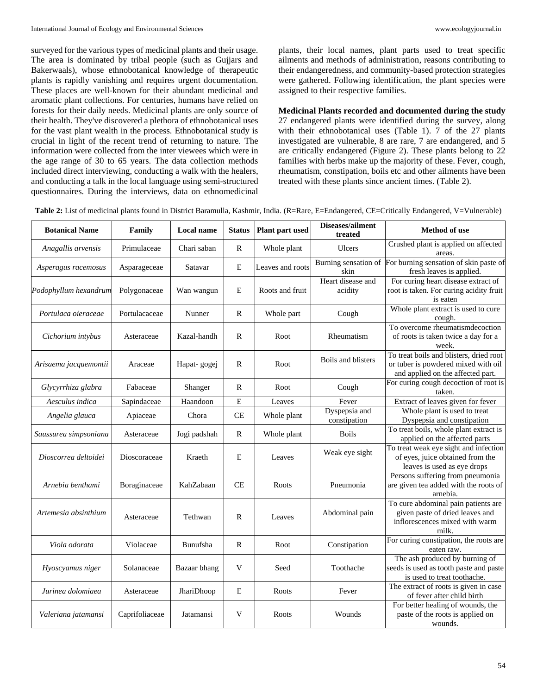surveyed for the various types of medicinal plants and their usage. The area is dominated by tribal people (such as Gujjars and Bakerwaals), whose ethnobotanical knowledge of therapeutic plants is rapidly vanishing and requires urgent documentation. These places are well-known for their abundant medicinal and aromatic plant collections. For centuries, humans have relied on forests for their daily needs. Medicinal plants are only source of their health. They've discovered a plethora of ethnobotanical uses for the vast plant wealth in the process. Ethnobotanical study is crucial in light of the recent trend of returning to nature. The information were collected from the inter viewees which were in the age range of 30 to 65 years. The data collection methods included direct interviewing, conducting a walk with the healers, and conducting a talk in the local language using semi-structured questionnaires. During the interviews, data on ethnomedicinal plants, their local names, plant parts used to treat specific ailments and methods of administration, reasons contributing to their endangeredness, and community-based protection strategies were gathered. Following identification, the plant species were assigned to their respective families.

**Medicinal Plants recorded and documented during the study** 27 endangered plants were identified during the survey, along with their ethnobotanical uses (Table 1). 7 of the 27 plants investigated are vulnerable, 8 are rare, 7 are endangered, and 5 are critically endangered (Figure 2). These plants belong to 22 families with herbs make up the majority of these. Fever, cough, rheumatism, constipation, boils etc and other ailments have been treated with these plants since ancient times. (Table 2).

Table 2: List of medicinal plants found in District Baramulla, Kashmir, India. (R=Rare, E=Endangered, CE=Critically Endangered, V=Vulnerable)

| <b>Botanical Name</b> | Family         | <b>Local name</b> | <b>Status</b> | Plant part used  | Diseases/ailment<br>treated   | <b>Method of use</b>                                                                                                |
|-----------------------|----------------|-------------------|---------------|------------------|-------------------------------|---------------------------------------------------------------------------------------------------------------------|
| Anagallis arvensis    | Primulaceae    | Chari saban       | R             | Whole plant      | Ulcers                        | Crushed plant is applied on affected<br>areas.                                                                      |
| Asperagus racemosus   | Asparageceae   | Satavar           | E             | Leaves and roots | Burning sensation of<br>skin  | For burning sensation of skin paste of<br>fresh leaves is applied.                                                  |
| Podophyllum hexandrum | Polygonaceae   | Wan wangun        | ${\bf E}$     | Roots and fruit  | Heart disease and<br>acidity  | For curing heart disease extract of<br>root is taken. For curing acidity fruit<br>is eaten                          |
| Portulaca oieraceae   | Portulacaceae  | Nunner            | $\mathbb{R}$  | Whole part       | Cough                         | Whole plant extract is used to cure<br>cough.                                                                       |
| Cichorium intybus     | Asteraceae     | Kazal-handh       | R             | Root             | Rheumatism                    | To overcome rheumatismdecoction<br>of roots is taken twice a day for a<br>week.                                     |
| Arisaema jacquemontii | Araceae        | Hapat-gogej       | $\mathbb{R}$  | Root             | Boils and blisters            | To treat boils and blisters, dried root<br>or tuber is powdered mixed with oil<br>and applied on the affected part. |
| Glycyrrhiza glabra    | Fabaceae       | Shanger           | $\mathbf R$   | Root             | Cough                         | For curing cough decoction of root is<br>taken.                                                                     |
| Aesculus indica       | Sapindaceae    | Haandoon          | ${\bf E}$     | Leaves           | Fever                         | Extract of leaves given for fever                                                                                   |
| Angelia glauca        | Apiaceae       | Chora             | CE            | Whole plant      | Dyspepsia and<br>constipation | Whole plant is used to treat<br>Dyspepsia and constipation                                                          |
| Saussurea simpsoniana | Asteraceae     | Jogi padshah      | $\mathbb{R}$  | Whole plant      | <b>Boils</b>                  | To treat boils, whole plant extract is<br>applied on the affected parts                                             |
| Dioscorrea deltoidei  | Dioscoraceae   | Kraeth            | $\mathbf E$   | Leaves           | Weak eye sight                | To treat weak eye sight and infection<br>of eyes, juice obtained from the<br>leaves is used as eye drops            |
| Arnebia benthami      | Boraginaceae   | KahZabaan         | <b>CE</b>     | Roots            | Pneumonia                     | Persons suffering from pneumonia<br>are given tea added with the roots of<br>arnebia.                               |
| Artemesia absinthium  | Asteraceae     | Tethwan           | $\mathbb{R}$  | Leaves           | Abdominal pain                | To cure abdominal pain patients are<br>given paste of dried leaves and<br>inflorescences mixed with warm<br>milk.   |
| Viola odorata         | Violaceae      | Bunufsha          | $\mathbb{R}$  | Root             | Constipation                  | For curing constipation, the roots are<br>eaten raw.                                                                |
| Hyoscyamus niger      | Solanaceae     | Bazaar bhang      | $\mathbf V$   | Seed             | Toothache                     | The ash produced by burning of<br>seeds is used as tooth paste and paste<br>is used to treat toothache.             |
| Jurinea dolomiaea     | Asteraceae     | JhariDhoop        | E             | Roots            | Fever                         | The extract of roots is given in case<br>of fever after child birth                                                 |
| Valeriana jatamansi   | Caprifoliaceae | Jatamansi         | V             | Roots            | Wounds                        | For better healing of wounds, the<br>paste of the roots is applied on<br>wounds.                                    |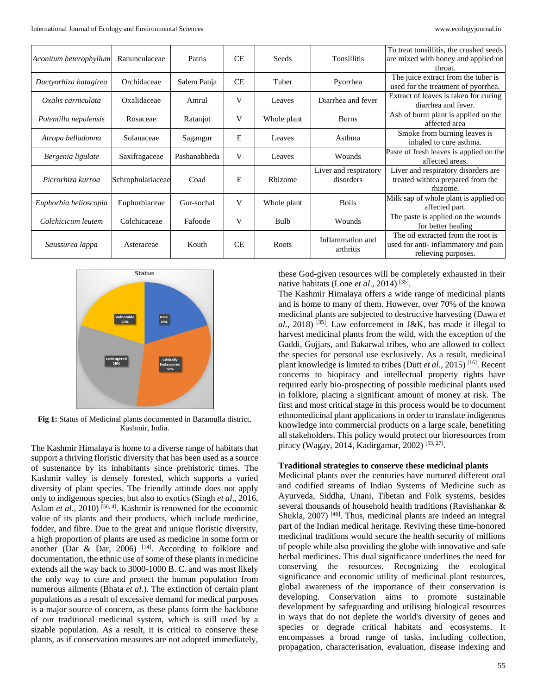| Aconitum heterophyllum | Ranunculaceae     | Patris       | <b>CE</b> | Seeds       | Tonsillitis                        | To treat tonsillitis, the crushed seeds<br>are mixed with honey and applied on                   |
|------------------------|-------------------|--------------|-----------|-------------|------------------------------------|--------------------------------------------------------------------------------------------------|
| Dactyorhiza hatagirea  | Orchidaceae       | Salem Panja  | <b>CE</b> | Tuber       | Pyorrhea                           | throat.<br>The juice extract from the tuber is<br>used for the treatment of pyorrhea.            |
| Oxalis carniculata     | Oxalidaceae       | Amrul        | V         | Leaves      | Diarrhea and fever                 | Extract of leaves is taken for curing<br>diarrhea and fever.                                     |
| Potentilla nepalensis  | Rosaceae          | Ratanjot     | V         | Whole plant | <b>Burns</b>                       | Ash of burnt plant is applied on the<br>affected area                                            |
| Atropa belladonna      | Solanaceae        | Sagangur     | E         | Leaves      | Asthma                             | Smoke from burning leaves is<br>inhaled to cure asthma.                                          |
| Bergenia ligulate      | Saxifragaceae     | Pashanabheda | V         | Leaves      | Wounds                             | Paste of fresh leaves is applied on the<br>affected areas.                                       |
| Picrorhiza kurroa      | Schrophulariaceae | Coad         | E         | Rhizome     | Liver and respiratory<br>disorders | Liver and respiratory disorders are<br>treated withtea prepared from the<br>rhizome.             |
| Euphorbia helioscopia  | Euphorbiaceae     | Gur-sochal   | V         | Whole plant | <b>Boils</b>                       | Milk sap of whole plant is applied on<br>affected part.                                          |
| Colchicicum leutem     | Colchicaceae      | Fafoode      | V         | Bulb        | Wounds                             | The paste is applied on the wounds<br>for better healing                                         |
| Saussurea lappa        | Asteraceae        | Kouth        | <b>CE</b> | Roots       | Inflammation and<br>arthritis      | The oil extracted from the root is<br>used for anti-inflammatory and pain<br>relieving purposes. |



**Fig 1:** Status of Medicinal plants documented in Baramulla district, Kashmir, India.

The Kashmir Himalaya is home to a diverse range of habitats that support a thriving floristic diversity that has been used as a source of sustenance by its inhabitants since prehistoric times. The Kashmir valley is densely forested, which supports a varied diversity of plant species. The friendly attitude does not apply only to indigenous species, but also to exotics (Singh *et al*., 2016, Aslam *et al.*, 2010)<sup>[50, 4]</sup>. Kashmir is renowned for the economic value of its plants and their products, which include medicine, fodder, and fibre. Due to the great and unique floristic diversity, a high proportion of plants are used as medicine in some form or another (Dar & Dar, 2006)  $[14]$ . According to folklore and documentation, the ethnic use of some of these plants in medicine extends all the way back to 3000-1000 B. C. and was most likely the only way to cure and protect the human population from numerous ailments (Bhata *et al*.). The extinction of certain plant populations as a result of excessive demand for medical purposes is a major source of concern, as these plants form the backbone of our traditional medicinal system, which is still used by a sizable population. As a result, it is critical to conserve these plants, as if conservation measures are not adopted immediately, these God-given resources will be completely exhausted in their native habitats (Lone *et al.*, 2014)<sup>[35]</sup>.

The Kashmir Himalaya offers a wide range of medicinal plants and is home to many of them. However, over 70% of the known medicinal plants are subjected to destructive harvesting (Dawa *et al*., 2018) [35] . Law enforcement in J&K, has made it illegal to harvest medicinal plants from the wild, with the exception of the Gaddi, Gujjars, and Bakarwal tribes, who are allowed to collect the species for personal use exclusively. As a result, medicinal plant knowledge is limited to tribes (Dutt *et al*., 2015) [16] . Recent concerns to biopiracy and intellectual property rights have required early bio-prospecting of possible medicinal plants used in folklore, placing a significant amount of money at risk. The first and most critical stage in this process would be to document ethnomedicinal plant applications in order to translate indigenous knowledge into commercial products on a large scale, benefiting all stakeholders. This policy would protect our bioresources from piracy (Wagay, 2014, Kadirgamar, 2002)<sup>[53, 27]</sup>.

#### **Traditional strategies to conserve these medicinal plants**

Medicinal plants over the centuries have nurtured different oral and codified streams of Indian Systems of Medicine such as Ayurveda, Siddha, Unani, Tibetan and Folk systems, besides several thousands of household health traditions (Ravishankar & Shukla, 2007)<sup>[46]</sup>. Thus, medicinal plants are indeed an integral part of the Indian medical heritage. Reviving these time-honored medicinal traditions would secure the health security of millions of people while also providing the globe with innovative and safe herbal medicines. This dual significance underlines the need for conserving the resources. Recognizing the ecological significance and economic utility of medicinal plant resources, global awareness of the importance of their conservation is developing. Conservation aims to promote sustainable development by safeguarding and utilising biological resources in ways that do not deplete the world's diversity of genes and species or degrade critical habitats and ecosystems. It encompasses a broad range of tasks, including collection, propagation, characterisation, evaluation, disease indexing and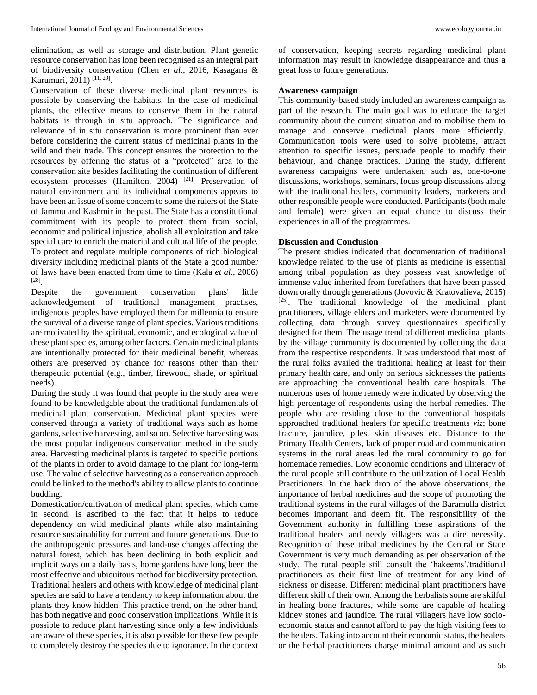elimination, as well as storage and distribution. Plant genetic resource conservation has long been recognised as an integral part of biodiversity conservation (Chen *et al*., 2016, Kasagana & Karumuri, 2011)<sup>[11, 29]</sup>.

Conservation of these diverse medicinal plant resources is possible by conserving the habitats. In the case of medicinal plants, the effective means to conserve them in the natural habitats is through in situ approach. The significance and relevance of in situ conservation is more prominent than ever before considering the current status of medicinal plants in the wild and their trade. This concept ensures the protection to the resources by offering the status of a "protected" area to the conservation site besides facilitating the continuation of different ecosystem processes (Hamilton, 2004)<sup>[21]</sup>. Preservation of natural environment and its individual components appears to have been an issue of some concern to some the rulers of the State of Jammu and Kashmir in the past. The State has a constitutional commitment with its people to protect them from social, economic and political injustice, abolish all exploitation and take special care to enrich the material and cultural life of the people. To protect and regulate multiple components of rich biological diversity including medicinal plants of the State a good number of laws have been enacted from time to time (Kala *et al*., 2006) [28] .

Despite the government conservation plans' little acknowledgement of traditional management practises, indigenous peoples have employed them for millennia to ensure the survival of a diverse range of plant species. Various traditions are motivated by the spiritual, economic, and ecological value of these plant species, among other factors. Certain medicinal plants are intentionally protected for their medicinal benefit, whereas others are preserved by chance for reasons other than their therapeutic potential (e.g., timber, firewood, shade, or spiritual needs).

During the study it was found that people in the study area were found to be knowledgable about the traditional fundamentals of medicinal plant conservation. Medicinal plant species were conserved through a variety of traditional ways such as home gardens, selective harvesting, and so on. Selective harvesting was the most popular indigenous conservation method in the study area. Harvesting medicinal plants is targeted to specific portions of the plants in order to avoid damage to the plant for long-term use. The value of selective harvesting as a conservation approach could be linked to the method's ability to allow plants to continue budding.

Domestication/cultivation of medical plant species, which came in second, is ascribed to the fact that it helps to reduce dependency on wild medicinal plants while also maintaining resource sustainability for current and future generations. Due to the anthropogenic pressures and land-use changes affecting the natural forest, which has been declining in both explicit and implicit ways on a daily basis, home gardens have long been the most effective and ubiquitous method for biodiversity protection. Traditional healers and others with knowledge of medicinal plant species are said to have a tendency to keep information about the plants they know hidden. This practice trend, on the other hand, has both negative and good conservation implications. While it is possible to reduce plant harvesting since only a few individuals are aware of these species, it is also possible for these few people to completely destroy the species due to ignorance. In the context of conservation, keeping secrets regarding medicinal plant information may result in knowledge disappearance and thus a great loss to future generations.

### **Awareness campaign**

This community-based study included an awareness campaign as part of the research. The main goal was to educate the target community about the current situation and to mobilise them to manage and conserve medicinal plants more efficiently. Communication tools were used to solve problems, attract attention to specific issues, persuade people to modify their behaviour, and change practices. During the study, different awareness campaigns were undertaken, such as, one-to-one discussions, workshops, seminars, focus group discussions along with the traditional healers, community leaders, marketers and other responsible people were conducted. Participants (both male and female) were given an equal chance to discuss their experiences in all of the programmes.

### **Discussion and Conclusion**

The present studies indicated that documentation of traditional knowledge related to the use of plants as medicine is essential among tribal population as they possess vast knowledge of immense value inherited from forefathers that have been passed down orally through generations (Jovovic & Kratovalieva, 2015) [25]. The traditional knowledge of the medicinal plant practitioners, village elders and marketers were documented by collecting data through survey questionnaires specifically designed for them. The usage trend of different medicinal plants by the village community is documented by collecting the data from the respective respondents. It was understood that most of the rural folks availed the traditional healing at least for their primary health care, and only on serious sicknesses the patients are approaching the conventional health care hospitals. The numerous uses of home remedy were indicated by observing the high percentage of respondents using the herbal remedies. The people who are residing close to the conventional hospitals approached traditional healers for specific treatments *viz*; bone fracture, jaundice, piles, skin diseases etc. Distance to the Primary Health Centers, lack of proper road and communication systems in the rural areas led the rural community to go for homemade remedies. Low economic conditions and illiteracy of the rural people still contribute to the utilization of Local Health Practitioners. In the back drop of the above observations, the importance of herbal medicines and the scope of promoting the traditional systems in the rural villages of the Baramulla district becomes important and deem fit. The responsibility of the Government authority in fulfilling these aspirations of the traditional healers and needy villagers was a dire necessity. Recognition of these tribal medicines by the Central or State Government is very much demanding as per observation of the study. The rural people still consult the 'hakeems'/traditional practitioners as their first line of treatment for any kind of sickness or disease. Different medicinal plant practitioners have different skill of their own. Among the herbalists some are skilful in healing bone fractures, while some are capable of healing kidney stones and jaundice. The rural villagers have low socioeconomic status and cannot afford to pay the high visiting fees to the healers. Taking into account their economic status, the healers or the herbal practitioners charge minimal amount and as such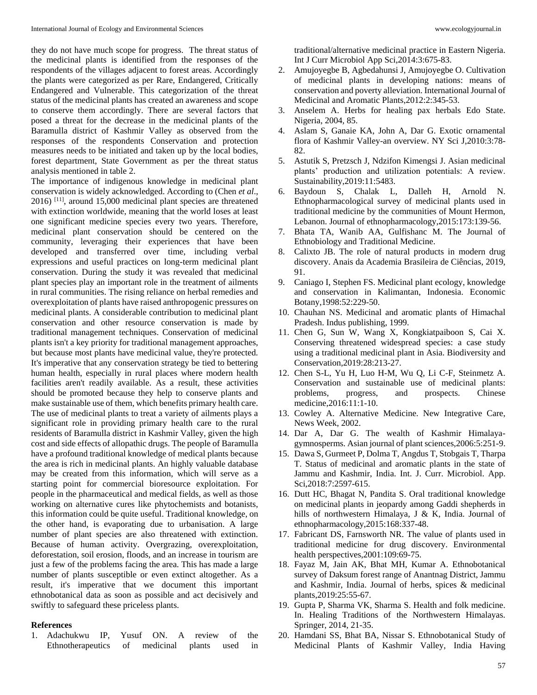they do not have much scope for progress. The threat status of the medicinal plants is identified from the responses of the respondents of the villages adjacent to forest areas. Accordingly the plants were categorized as per Rare, Endangered, Critically Endangered and Vulnerable. This categorization of the threat status of the medicinal plants has created an awareness and scope to conserve them accordingly. There are several factors that posed a threat for the decrease in the medicinal plants of the Baramulla district of Kashmir Valley as observed from the responses of the respondents Conservation and protection measures needs to be initiated and taken up by the local bodies, forest department, State Government as per the threat status analysis mentioned in table 2.

The importance of indigenous knowledge in medicinal plant conservation is widely acknowledged. According to (Chen *et al*.,  $2016$ )<sup>[11]</sup>, around 15,000 medicinal plant species are threatened with extinction worldwide, meaning that the world loses at least one significant medicine species every two years. Therefore, medicinal plant conservation should be centered on the community, leveraging their experiences that have been developed and transferred over time, including verbal expressions and useful practices on long-term medicinal plant conservation. During the study it was revealed that medicinal plant species play an important role in the treatment of ailments in rural communities. The rising reliance on herbal remedies and overexploitation of plants have raised anthropogenic pressures on medicinal plants. A considerable contribution to medicinal plant conservation and other resource conservation is made by traditional management techniques. Conservation of medicinal plants isn't a key priority for traditional management approaches, but because most plants have medicinal value, they're protected. It's imperative that any conservation strategy be tied to bettering human health, especially in rural places where modern health facilities aren't readily available. As a result, these activities should be promoted because they help to conserve plants and make sustainable use of them, which benefits primary health care. The use of medicinal plants to treat a variety of ailments plays a significant role in providing primary health care to the rural residents of Baramulla district in Kashmir Valley, given the high cost and side effects of allopathic drugs. The people of Baramulla have a profound traditional knowledge of medical plants because the area is rich in medicinal plants. An highly valuable database may be created from this information, which will serve as a starting point for commercial bioresource exploitation. For people in the pharmaceutical and medical fields, as well as those working on alternative cures like phytochemists and botanists, this information could be quite useful. Traditional knowledge, on the other hand, is evaporating due to urbanisation. A large number of plant species are also threatened with extinction. Because of human activity. Overgrazing, overexploitation, deforestation, soil erosion, floods, and an increase in tourism are just a few of the problems facing the area. This has made a large number of plants susceptible or even extinct altogether. As a result, it's imperative that we document this important ethnobotanical data as soon as possible and act decisively and swiftly to safeguard these priceless plants.

### **References**

1. Adachukwu IP, Yusuf ON. A review of the Ethnotherapeutics of medicinal plants used in

traditional/alternative medicinal practice in Eastern Nigeria. Int J Curr Microbiol App Sci,2014:3:675-83.

- 2. Amujoyegbe B, Agbedahunsi J, Amujoyegbe O. Cultivation of medicinal plants in developing nations: means of conservation and poverty alleviation. International Journal of Medicinal and Aromatic Plants,2012:2:345-53.
- 3. Anselem A. Herbs for healing pax herbals Edo State. Nigeria, 2004, 85.
- 4. Aslam S, Ganaie KA, John A, Dar G. Exotic ornamental flora of Kashmir Valley-an overview. NY Sci J,2010:3:78- 82.
- 5. Astutik S, Pretzsch J, Ndzifon Kimengsi J. Asian medicinal plants' production and utilization potentials: A review. Sustainability,2019:11:5483.
- 6. Baydoun S, Chalak L, Dalleh H, Arnold N. Ethnopharmacological survey of medicinal plants used in traditional medicine by the communities of Mount Hermon, Lebanon. Journal of ethnopharmacology,2015:173:139-56.
- 7. Bhata TA, Wanib AA, Gulfishanc M. The Journal of Ethnobiology and Traditional Medicine.
- 8. Calixto JB. The role of natural products in modern drug discovery. Anais da Academia Brasileira de Ciências, 2019, 91.
- 9. Caniago I, Stephen FS. Medicinal plant ecology, knowledge and conservation in Kalimantan, Indonesia. Economic Botany,1998:52:229-50.
- 10. Chauhan NS. Medicinal and aromatic plants of Himachal Pradesh. Indus publishing, 1999.
- 11. Chen G, Sun W, Wang X, Kongkiatpaiboon S, Cai X. Conserving threatened widespread species: a case study using a traditional medicinal plant in Asia. Biodiversity and Conservation,2019:28:213-27.
- 12. Chen S-L, Yu H, Luo H-M, Wu Q, Li C-F, Steinmetz A. Conservation and sustainable use of medicinal plants: problems, progress, and prospects. Chinese medicine,2016:11:1-10.
- 13. Cowley A. Alternative Medicine. New Integrative Care, News Week, 2002.
- 14. Dar A, Dar G. The wealth of Kashmir Himalayagymnosperms. Asian journal of plant sciences,2006:5:251-9.
- 15. Dawa S, Gurmeet P, Dolma T, Angdus T, Stobgais T, Tharpa T. Status of medicinal and aromatic plants in the state of Jammu and Kashmir, India. Int. J. Curr. Microbiol. App. Sci,2018:7:2597-615.
- 16. Dutt HC, Bhagat N, Pandita S. Oral traditional knowledge on medicinal plants in jeopardy among Gaddi shepherds in hills of northwestern Himalaya, J & K, India. Journal of ethnopharmacology,2015:168:337-48.
- 17. Fabricant DS, Farnsworth NR. The value of plants used in traditional medicine for drug discovery. Environmental health perspectives,2001:109:69-75.
- 18. Fayaz M, Jain AK, Bhat MH, Kumar A. Ethnobotanical survey of Daksum forest range of Anantnag District, Jammu and Kashmir, India. Journal of herbs, spices & medicinal plants,2019:25:55-67.
- 19. Gupta P, Sharma VK, Sharma S. Health and folk medicine. In. Healing Traditions of the Northwestern Himalayas. Springer, 2014, 21-35.
- 20. Hamdani SS, Bhat BA, Nissar S. Ethnobotanical Study of Medicinal Plants of Kashmir Valley, India Having